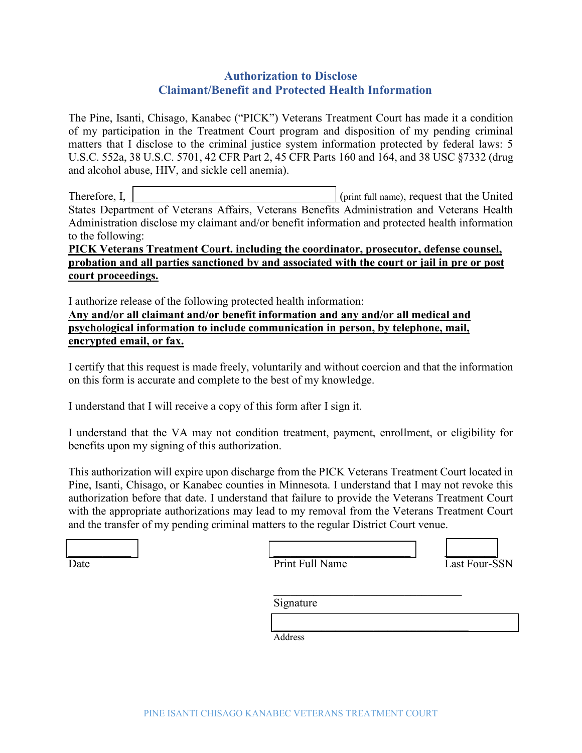# **Authorization to Disclose Claimant/Benefit and Protected Health Information**

The Pine, Isanti, Chisago, Kanabec ("PICK") Veterans Treatment Court has made it a condition of my participation in the Treatment Court program and disposition of my pending criminal matters that I disclose to the criminal justice system information protected by federal laws: 5 U.S.C. 552a, 38 U.S.C. 5701, 42 CFR Part 2, 45 CFR Parts 160 and 164, and 38 USC §7332 (drug and alcohol abuse, HIV, and sickle cell anemia).

Therefore, I,  $|$  (print full name), request that the United States Department of Veterans Affairs, Veterans Benefits Administration and Veterans Health Administration disclose my claimant and/or benefit information and protected health information to the following:

## **PICK Veterans Treatment Court. including the coordinator, prosecutor, defense counsel, probation and all parties sanctioned by and associated with the court or jail in pre or post court proceedings.**

I authorize release of the following protected health information:

**Any and/or all claimant and/or benefit information and any and/or all medical and psychological information to include communication in person, by telephone, mail, encrypted email, or fax.**

I certify that this request is made freely, voluntarily and without coercion and that the information on this form is accurate and complete to the best of my knowledge.

I understand that I will receive a copy of this form after I sign it.

I understand that the VA may not condition treatment, payment, enrollment, or eligibility for benefits upon my signing of this authorization.

This authorization will expire upon discharge from the PICK Veterans Treatment Court located in Pine, Isanti, Chisago, or Kanabec counties in Minnesota. I understand that I may not revoke this authorization before that date. I understand that failure to provide the Veterans Treatment Court with the appropriate authorizations may lead to my removal from the Veterans Treatment Court and the transfer of my pending criminal matters to the regular District Court venue.

| Date |  |
|------|--|

Print Full Name Last Four-SSN



Signature

 $\mathcal{L}_\mathcal{L} = \{ \mathcal{L}_\mathcal{L} = \{ \mathcal{L}_\mathcal{L} \} \cup \{ \mathcal{L}_\mathcal{L} = \{ \mathcal{L}_\mathcal{L} \} \cup \{ \mathcal{L}_\mathcal{L} = \{ \mathcal{L}_\mathcal{L} \} \cup \{ \mathcal{L}_\mathcal{L} = \{ \mathcal{L}_\mathcal{L} \} \cup \{ \mathcal{L}_\mathcal{L} = \{ \mathcal{L}_\mathcal{L} \} \cup \{ \mathcal{L}_\mathcal{L} = \{ \mathcal{L}_\mathcal{L} \} \cup \{ \mathcal{L}_\$ Address